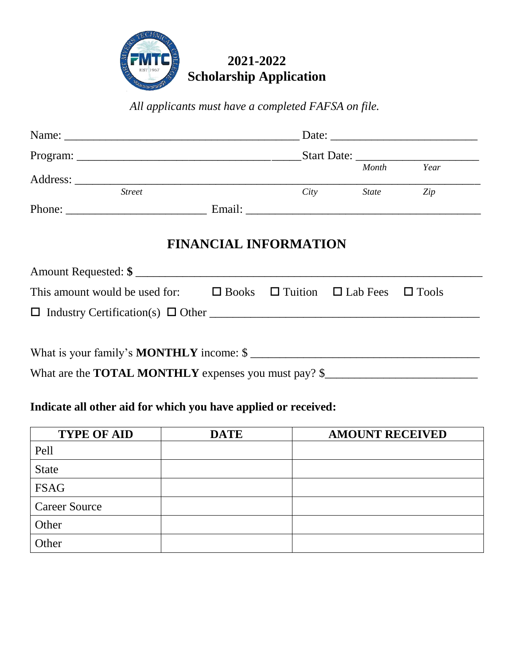

*All applicants must have a completed FAFSA on file.* 

|          |               |        |                    | Date:        |      |  |
|----------|---------------|--------|--------------------|--------------|------|--|
| Program: |               |        | <b>Start Date:</b> |              |      |  |
|          |               |        |                    | Month        | Year |  |
|          | <b>Street</b> |        | City               | <b>State</b> | Zip  |  |
| Phone:   |               | Email: |                    |              |      |  |

## **FINANCIAL INFORMATION**

| Amount Requested: \$                                                                                                                                                                                                                                                                             |  |  |  |  |  |  |
|--------------------------------------------------------------------------------------------------------------------------------------------------------------------------------------------------------------------------------------------------------------------------------------------------|--|--|--|--|--|--|
| This amount would be used for: $\Box$ Books $\Box$ Tuition $\Box$ Lab Fees $\Box$ Tools                                                                                                                                                                                                          |  |  |  |  |  |  |
|                                                                                                                                                                                                                                                                                                  |  |  |  |  |  |  |
| What is your family's <b>MONTHLY</b> income: \$                                                                                                                                                                                                                                                  |  |  |  |  |  |  |
| $\mathbf{W}$ and $\mathbf{H}$ and $\mathbf{H}$ and $\mathbf{W}$ and $\mathbf{W}$ and $\mathbf{W}$ and $\mathbf{W}$ and $\mathbf{W}$ and $\mathbf{W}$ and $\mathbf{W}$ and $\mathbf{W}$ and $\mathbf{W}$ and $\mathbf{W}$ and $\mathbf{W}$ and $\mathbf{W}$ and $\mathbf{W}$ and $\mathbf{W}$ and |  |  |  |  |  |  |

What are the **TOTAL MONTHLY** expenses you must pay? \$\_\_\_\_\_\_\_\_\_\_\_\_\_\_\_\_\_\_\_\_\_\_\_\_\_\_

## **Indicate all other aid for which you have applied or received:**

| <b>TYPE OF AID</b>   | <b>DATE</b> | <b>AMOUNT RECEIVED</b> |
|----------------------|-------------|------------------------|
| Pell                 |             |                        |
| <b>State</b>         |             |                        |
| <b>FSAG</b>          |             |                        |
| <b>Career Source</b> |             |                        |
| Other                |             |                        |
| Other                |             |                        |